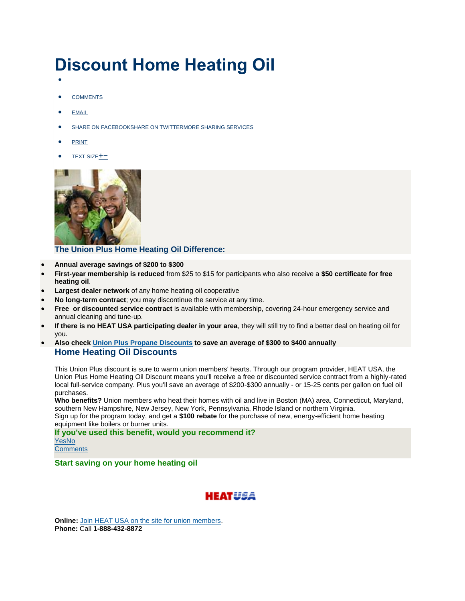## **Discount Home Heating Oil**

- $\bullet$
- [COMMENTS](http://www.unionplus.org/home/home-heating-oil#comments)
- $\bullet$  [EMAIL](http://www.unionplus.org/home/home-heating-oil)
- **[SHARE ON FACEBOOKSHARE ON TWITTERMORE SHARING SERVICES](http://www.unionplus.org/home/home-heating-oil)**
- $\bullet$  [PRINT](http://www.unionplus.org/home/home-heating-oil)
- TEXT SIZE<sup>+</sup>



**The Union Plus Home Heating Oil Difference:**

- **Annual average savings of \$200 to \$300**
- **First-year membership is reduced** from \$25 to \$15 for participants who also receive a **\$50 certificate for free heating oil**.
- **Largest dealer network** of any home heating oil cooperative
- **No long-term contract**; you may discontinue the service at any time.
- **Free or discounted service contract** is available with membership, covering 24-hour emergency service and annual cleaning and tune-up.
- **If there is no HEAT USA participating dealer in your area**, they will still try to find a better deal on heating oil for you.
- **Also check [Union Plus Propane Discounts](http://propaneusa.info/up/) to save an average of \$300 to \$400 annually Home Heating Oil Discounts**

This Union Plus discount is sure to warm union members' hearts. Through our program provider, HEAT USA, the Union Plus Home Heating Oil Discount means you'll receive a free or discounted service contract from a highly-rated local full-service company. Plus you'll save an average of \$200-\$300 annually - or 15-25 cents per gallon on fuel oil purchases.

**Who benefits?** Union members who heat their homes with oil and live in Boston (MA) area, Connecticut, Maryland, southern New Hampshire, New Jersey, New York, Pennsylvania, Rhode Island or northern Virginia. Sign up for the program today, and get a **\$100 rebate** for the purchase of new, energy-efficient home heating equipment like boilers or burner units.

**If you've used this benefit, would you recommend it?** [YesNo](http://www.unionplus.org/tools/vote/benefit/74/up) **[Comments](http://www.unionplus.org/home/home-heating-oil#comments)** 

**Start saving on your home heating oil**



**Online:** [Join HEAT USA on the site for union members.](https://www.heatusa.com/up) **Phone:** Call **1-888-432-8872**